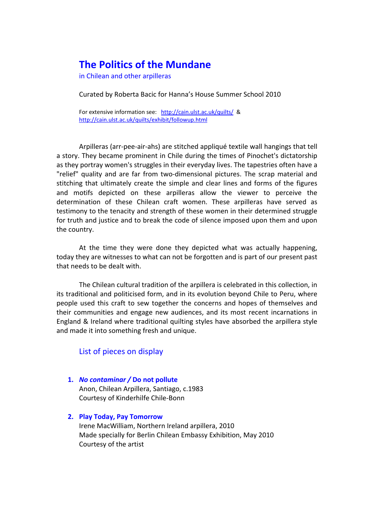# **The Politics of the Mundane**

in Chilean and other arpilleras

Curated by Roberta Bacic for Hanna's House Summer School 2010

For extensive information see: <http://cain.ulst.ac.uk/quilts/> & <http://cain.ulst.ac.uk/quilts/exhibit/followup.html>

Arpilleras (arr‐pee‐air‐ahs) are stitched appliqué textile wall hangings that tell a story. They became prominent in Chile during the times of Pinochet's dictatorship as they portray women's struggles in their everyday lives. The tapestries often have a "relief" quality and are far from two‐dimensional pictures. The scrap material and stitching that ultimately create the simple and clear lines and forms of the figures and motifs depicted on these arpilleras allow the viewer to perceive the determination of these Chilean craft women. These arpilleras have served as testimony to the tenacity and strength of these women in their determined struggle for truth and justice and to break the code of silence imposed upon them and upon the country.

At the time they were done they depicted what was actually happening, today they are witnesses to what can not be forgotten and is part of our present past that needs to be dealt with.

The Chilean cultural tradition of the arpillera is celebrated in this collection, in its traditional and politicised form, and in its evolution beyond Chile to Peru, where people used this craft to sew together the concerns and hopes of themselves and their communities and engage new audiences, and its most recent incarnations in England & Ireland where traditional quilting styles have absorbed the arpillera style and made it into something fresh and unique.

# List of pieces on display

- **1.** *No contaminar /* **Do not pollute** Anon, Chilean Arpillera, Santiago, c.1983 Courtesy of Kinderhilfe Chile‐Bonn
- **2. Play Today, Pay Tomorrow** Irene MacWilliam, Northern Ireland arpillera, 2010 Made specially for Berlin Chilean Embassy Exhibition, May 2010 Courtesy of the artist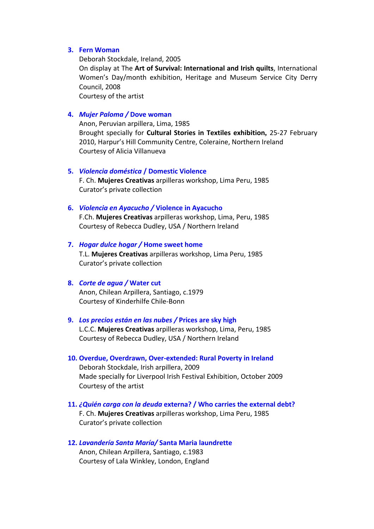## **3. Fern Woman**

Deborah Stockdale, Ireland, 2005 On display at The **Art of Survival: International and Irish quilts**, International Women's Day/month exhibition, Heritage and Museum Service City Derry Council, 2008 Courtesy of the artist

# **4.** *Mujer Paloma /* **Dove woman**

Anon, Peruvian arpillera, Lima, 1985 Brought specially for **Cultural Stories in Textiles exhibition,** 25‐27 February 2010, Harpur's Hill Community Centre, Coleraine, Northern Ireland Courtesy of Alicia Villanueva

## **5.** *Violencia doméstica* **/ Domestic Violence**

F. Ch. **Mujeres Creativas** arpilleras workshop, Lima Peru, 1985 Curator's private collection

#### **6.** *Violencia en Ayacucho /* **Violence in Ayacucho**

F.Ch. **Mujeres Creativas** arpilleras workshop, Lima, Peru, 1985 Courtesy of Rebecca Dudley, USA / Northern Ireland

#### **7.** *Hogar dulce hogar /* **Home sweet home**

T.L. **Mujeres Creativas** arpilleras workshop, Lima Peru, 1985 Curator's private collection

#### **8.** *Corte de agua /* **Water cut**

Anon, Chilean Arpillera, Santiago, c.1979 Courtesy of Kinderhilfe Chile‐Bonn

# **9.** *Los precios están en las nubes /* **Prices are sky high**

L.C.C. **Mujeres Creativas** arpilleras workshop, Lima, Peru, 1985 Courtesy of Rebecca Dudley, USA / Northern Ireland

- **10. Overdue, Overdrawn, Over‐extended: Rural Poverty in Ireland** Deborah Stockdale, Irish arpillera, 2009 Made specially for Liverpool Irish Festival Exhibition, October 2009 Courtesy of the artist
- **11.** *¿Quién carga con la deuda* **externa? / Who carries the external debt?** F. Ch. **Mujeres Creativas** arpilleras workshop, Lima Peru, 1985 Curator's private collection
- **12.** *Lavandería Santa María/* **Santa Maria laundrette** Anon, Chilean Arpillera, Santiago, c.1983 Courtesy of Lala Winkley, London, England